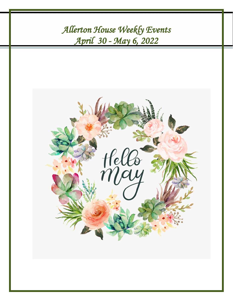8/ *April 30 - May 6, 2022 Allerton House Weekly Events* 

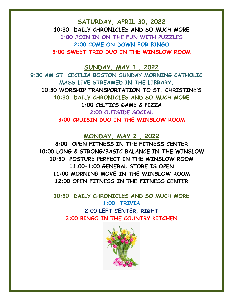**SATURDAY, APRIL 30, 2022**

**10:30 DAILY CHRONICLES AND SO MUCH MORE 1:00 JOIN IN ON THE FUN WITH PUZZLES 2:00 COME ON DOWN FOR BINGO 3:00 SWEET TRIO DUO IN THE WINSLOW ROOM**

**SUNDAY, MAY 1 , 2022**

**9:30 AM ST. CECELIA BOSTON SUNDAY MORNING CATHOLIC MASS LIVE STREAMED IN THE LIBRARY. 10:30 WORSHIP TRANSPORTATION TO ST. CHRISTINE'S 10:30 DAILY CHRONICLES AND SO MUCH MORE 1:00 CELTICS GAME & PIZZA 2:00 OUTSIDE SOCIAL 3:00 CRUISIN DUO IN THE WINSLOW ROOM**

**MONDAY, MAY 2 , 2022**

**8:00 OPEN FITNESS IN THE FITNESS CENTER 10:00 LONG & STRONG/BASIC BALANCE IN THE WINSLOW 10:30 POSTURE PERFECT IN THE WINSLOW ROOM 11:00-1:00 GENERAL STORE IS OPEN 11:00 MORNING MOVE IN THE WINSLOW ROOM 12:00 OPEN FITNESS IN THE FITNESS CENTER**

**10:30 DAILY CHRONICLES AND SO MUCH MORE 1:00 TRIVIA 2:00 LEFT CENTER, RIGHT 3:00 BINGO IN THE COUNTRY KITCHEN**

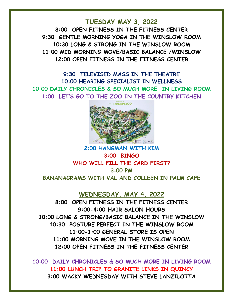## **TUESDAY MAY 3, 2022**

**8:00 OPEN FITNESS IN THE FITNESS CENTER 9:30 GENTLE MORNING YOGA IN THE WINSLOW ROOM 10:30 LONG & STRONG IN THE WINSLOW ROOM 11:00 MID MORNING MOVE/BASIC BALANCE /WINSLOW 12:00 OPEN FITNESS IN THE FITNESS CENTER**

**9:30 TELEVISED MASS IN THE THEATRE 10:00 HEARING SPECIALIST IN WELLNESS 10:00 DAILY CHRONICLES & SO MUCH MORE IN LIVING ROOM 1:00 LET'S GO TO THE ZOO IN THE COUNTRY KITCHEN**



# **2:00 HANGMAN WITH KIM 3:00 BINGO WHO WILL FILL THE CARD FIRST? 3:00 PM BANANAGRAMS WITH VAL AND COLLEEN IN PALM CAFE**

#### **WEDNESDAY, MAY 4, 2022**

**8:00 OPEN FITNESS IN THE FITNESS CENTER 9:00-4:00 HAIR SALON HOURS 10:00 LONG & STRONG/BASIC BALANCE IN THE WINSLOW 10:30 POSTURE PERFECT IN THE WINSLOW ROOM 11:00-1:00 GENERAL STORE IS OPEN 11:00 MORNING MOVE IN THE WINSLOW ROOM 12:00 OPEN FITNESS IN THE FITNESS CENTER**

**10:00 DAILY CHRONICLES & SO MUCH MORE IN LIVING ROOM 11:00 LUNCH TRIP TO GRANITE LINKS IN QUINCY 3:00 WACKY WEDNESDAY WITH STEVE LANZILOTTA**